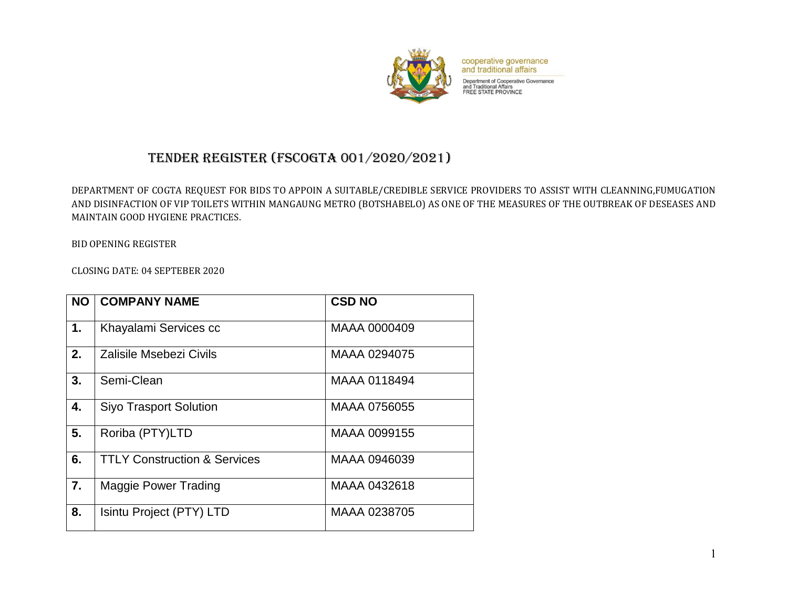

cooperative governance<br>and traditional affairs

Department of Cooperative Governance<br>and Traditional Affairs<br>FREE STATE PROVINCE

## TENDER REGISTER (FSCOGTA 001/2020/2021)

DEPARTMENT OF COGTA REQUEST FOR BIDS TO APPOIN A SUITABLE/CREDIBLE SERVICE PROVIDERS TO ASSIST WITH CLEANNING,FUMUGATION AND DISINFACTION OF VIP TOILETS WITHIN MANGAUNG METRO (BOTSHABELO) AS ONE OF THE MEASURES OF THE OUTBREAK OF DESEASES AND MAINTAIN GOOD HYGIENE PRACTICES.

BID OPENING REGISTER

CLOSING DATE: 04 SEPTEBER 2020

| <b>NO</b> | <b>COMPANY NAME</b>                     | <b>CSD NO</b> |
|-----------|-----------------------------------------|---------------|
| 1.        | Khayalami Services cc                   | MAAA 0000409  |
| 2.        | Zalisile Msebezi Civils                 | MAAA 0294075  |
| 3.        | Semi-Clean                              | MAAA 0118494  |
| 4.        | <b>Siyo Trasport Solution</b>           | MAAA 0756055  |
| 5.        | Roriba (PTY)LTD                         | MAAA 0099155  |
| 6.        | <b>TTLY Construction &amp; Services</b> | MAAA 0946039  |
| 7.        | <b>Maggie Power Trading</b>             | MAAA 0432618  |
| 8.        | Isintu Project (PTY) LTD                | MAAA 0238705  |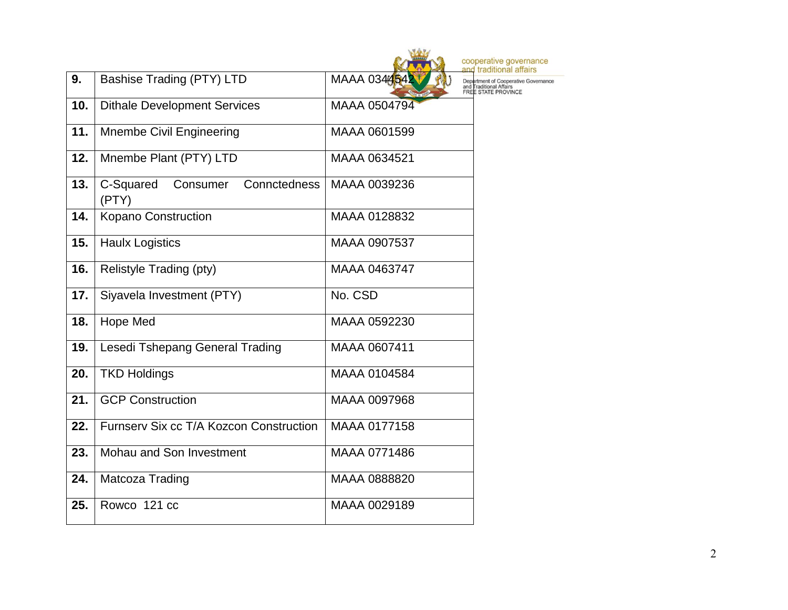|     |                                          |              | cooperati<br>tradit                 |
|-----|------------------------------------------|--------------|-------------------------------------|
| 9.  | <b>Bashise Trading (PTY) LTD</b>         | MAAA 034454  | Dec<br>and Traditiona<br>FREE STATE |
| 10. | <b>Dithale Development Services</b>      | MAAA 0504794 |                                     |
| 11. | <b>Mnembe Civil Engineering</b>          | MAAA 0601599 |                                     |
| 12. | Mnembe Plant (PTY) LTD                   | MAAA 0634521 |                                     |
| 13. | C-Squared Consumer Connctedness<br>(PTY) | MAAA 0039236 |                                     |
| 14. | Kopano Construction                      | MAAA 0128832 |                                     |
| 15. | <b>Haulx Logistics</b>                   | MAAA 0907537 |                                     |
| 16. | Relistyle Trading (pty)                  | MAAA 0463747 |                                     |
| 17. | Siyavela Investment (PTY)                | No. CSD      |                                     |
| 18. | Hope Med                                 | MAAA 0592230 |                                     |
| 19. | Lesedi Tshepang General Trading          | MAAA 0607411 |                                     |
| 20. | <b>TKD Holdings</b>                      | MAAA 0104584 |                                     |
| 21. | <b>GCP Construction</b>                  | MAAA 0097968 |                                     |
| 22. | Furnsery Six cc T/A Kozcon Construction  | MAAA 0177158 |                                     |
| 23. | Mohau and Son Investment                 | MAAA 0771486 |                                     |
| 24. | Matcoza Trading                          | MAAA 0888820 |                                     |
| 25. | Rowco 121 cc                             | MAAA 0029189 |                                     |

ive governance<br>itional affairs of Cooperative Governance<br>al Affairs<br>: PROVINCE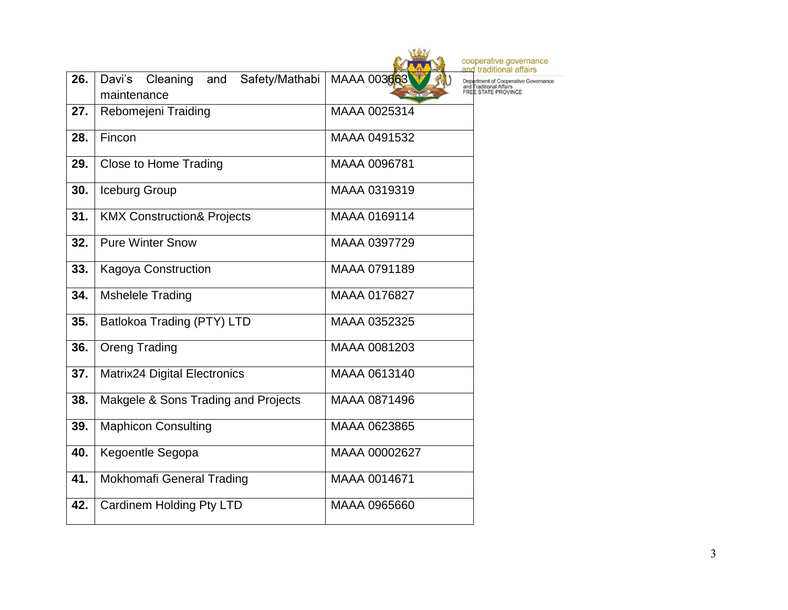|     |                                                            | coope<br>and tr                              |
|-----|------------------------------------------------------------|----------------------------------------------|
| 26. | Cleaning<br>Davi's<br>and<br>Safety/Mathabi<br>maintenance | MAAA 003663<br>Departm<br>and Trac<br>FREE S |
| 27. | Rebomejeni Traiding                                        | MAAA 0025314                                 |
| 28. | Fincon                                                     | MAAA 0491532                                 |
| 29. | <b>Close to Home Trading</b>                               | MAAA 0096781                                 |
| 30. | Iceburg Group                                              | MAAA 0319319                                 |
| 31. | <b>KMX Construction&amp; Projects</b>                      | MAAA 0169114                                 |
| 32. | <b>Pure Winter Snow</b>                                    | MAAA 0397729                                 |
| 33. | <b>Kagoya Construction</b>                                 | MAAA 0791189                                 |
| 34. | <b>Mshelele Trading</b>                                    | MAAA 0176827                                 |
| 35. | Batlokoa Trading (PTY) LTD                                 | MAAA 0352325                                 |
| 36. | <b>Oreng Trading</b>                                       | MAAA 0081203                                 |
| 37. | <b>Matrix24 Digital Electronics</b>                        | MAAA 0613140                                 |
| 38. | Makgele & Sons Trading and Projects                        | MAAA 0871496                                 |
| 39. | <b>Maphicon Consulting</b>                                 | MAAA 0623865                                 |
| 40. | Kegoentle Segopa                                           | MAAA 00002627                                |
| 41. | Mokhomafi General Trading                                  | MAAA 0014671                                 |
| 42. | Cardinem Holding Pty LTD                                   | MAAA 0965660                                 |
|     |                                                            |                                              |

erative governance<br>traditional affairs ment of Cooperative Governance<br>aditional Affairs<br>STATE PROVINCE